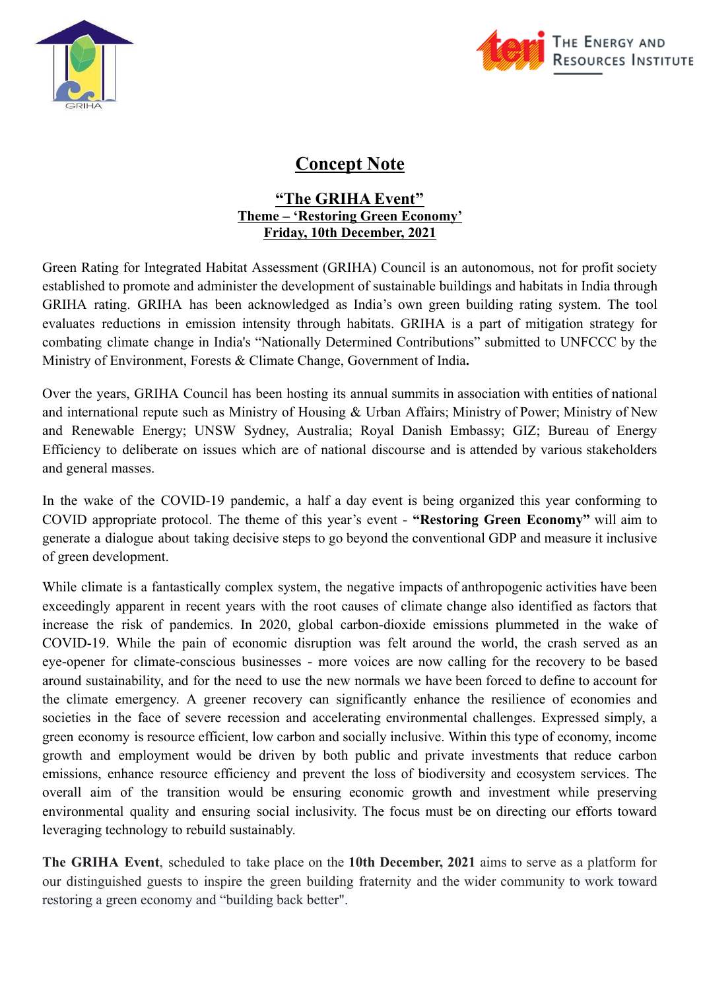



## **Concept Note**

## **"The GRIHA Event" Theme – 'Restoring Green Economy' Friday, 10th December, 2021**

Green Rating for Integrated Habitat Assessment (GRIHA) Council is an autonomous, not for profit society established to promote and administer the development of sustainable buildings and habitats in India through GRIHA rating. GRIHA has been acknowledged as India's own green building rating system. The tool evaluates reductions in emission intensity through habitats. GRIHA is a part of mitigation strategy for combating climate change in India's "Nationally Determined Contributions" submitted to UNFCCC by the Ministry of Environment, Forests & Climate Change, Government of India**.**

Over the years, GRIHA Council has been hosting its annual summits in association with entities of national and international repute such as Ministry of Housing & Urban Affairs; Ministry of Power; Ministry of New and Renewable Energy; UNSW Sydney, Australia; Royal Danish Embassy; GIZ; Bureau of Energy Efficiency to deliberate on issues which are of national discourse and is attended by various stakeholders and general masses.

In the wake of the COVID-19 pandemic, a half a day event is being organized this year conforming to COVID appropriate protocol. The theme of this year's event - **"Restoring Green Economy"** will aim to generate a dialogue about taking decisive steps to go beyond the conventional GDP and measure it inclusive of green development.

While climate is a fantastically complex system, the negative impacts of anthropogenic activities have been exceedingly apparent in recent years with the root causes of climate change also identified as factors that increase the risk of pandemics. In 2020, global carbon-dioxide emissions plummeted in the wake of COVID-19. While the pain of economic disruption was felt around the world, the crash served as an eye-opener for climate-conscious businesses - more voices are now calling for the recovery to be based around sustainability, and for the need to use the new normals we have been forced to define to [account](https://www.theguardian.com/environment/commentisfree/2020/may/22/humanity-must-take-this-chance-to-find-a-new-normal-and-safeguard-our-planet-aoe) for [the](https://www.theguardian.com/environment/commentisfree/2020/may/22/humanity-must-take-this-chance-to-find-a-new-normal-and-safeguard-our-planet-aoe) climate emergency. A greener recovery can significantly enhance the resilience of economies and societies in the face of severe recession and accelerating environmental challenges. Expressed simply, a green economy is resource efficient, low carbon and socially inclusive. Within this type of economy, income growth and employment would be driven by both public and private investments that reduce carbon emissions, enhance resource efficiency and prevent the loss of biodiversity and ecosystem services. The overall aim of the transition would be ensuring economic growth and investment while preserving environmental quality and ensuring social inclusivity. The focus must be on directing our efforts toward leveraging technology to rebuild sustainably.

**The GRIHA Event**, scheduled to take place on the **10th December, 2021** aims to serve as a platform for our distinguished guests to inspire the green building fraternity and the wider community to work toward restoring a green economy and "building back better".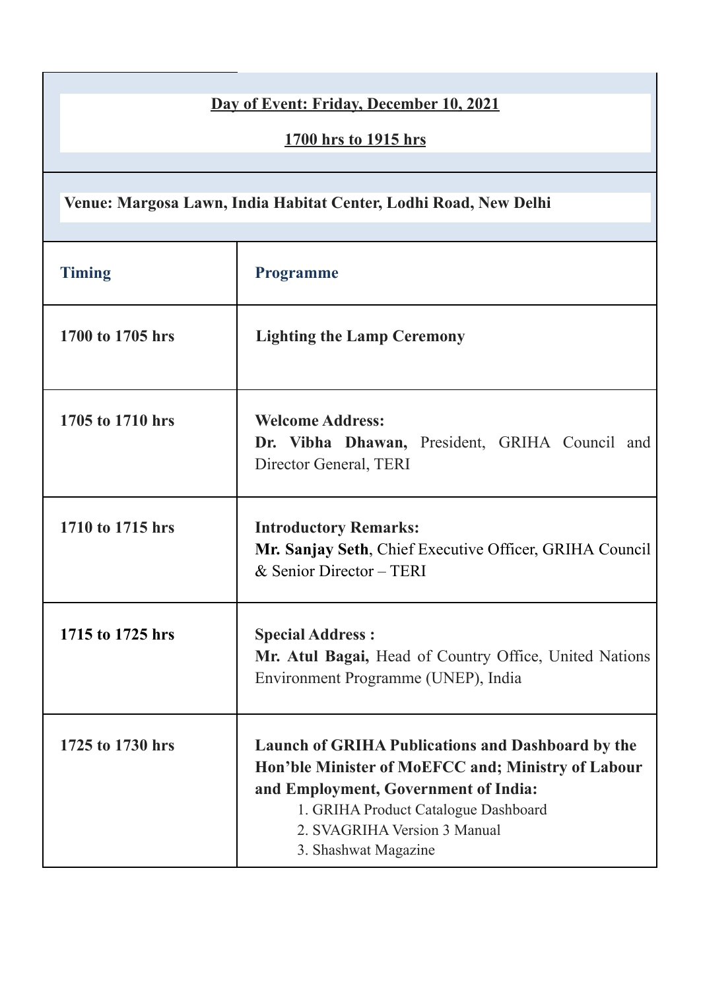| Day of Event: Friday, December 10, 2021<br>1700 hrs to 1915 hrs  |                                                                                                                                                                                                                                                        |  |
|------------------------------------------------------------------|--------------------------------------------------------------------------------------------------------------------------------------------------------------------------------------------------------------------------------------------------------|--|
| Venue: Margosa Lawn, India Habitat Center, Lodhi Road, New Delhi |                                                                                                                                                                                                                                                        |  |
| <b>Timing</b>                                                    | <b>Programme</b>                                                                                                                                                                                                                                       |  |
| 1700 to 1705 hrs                                                 | <b>Lighting the Lamp Ceremony</b>                                                                                                                                                                                                                      |  |
| 1705 to 1710 hrs                                                 | <b>Welcome Address:</b><br>Dr. Vibha Dhawan, President, GRIHA Council and<br>Director General, TERI                                                                                                                                                    |  |
| 1710 to 1715 hrs                                                 | <b>Introductory Remarks:</b><br>Mr. Sanjay Seth, Chief Executive Officer, GRIHA Council<br>& Senior Director - TERI                                                                                                                                    |  |
| 1715 to 1725 hrs                                                 | <b>Special Address:</b><br>Mr. Atul Bagai, Head of Country Office, United Nations<br>Environment Programme (UNEP), India                                                                                                                               |  |
| 1725 to 1730 hrs                                                 | <b>Launch of GRIHA Publications and Dashboard by the</b><br>Hon'ble Minister of MoEFCC and; Ministry of Labour<br>and Employment, Government of India:<br>1. GRIHA Product Catalogue Dashboard<br>2. SVAGRIHA Version 3 Manual<br>3. Shashwat Magazine |  |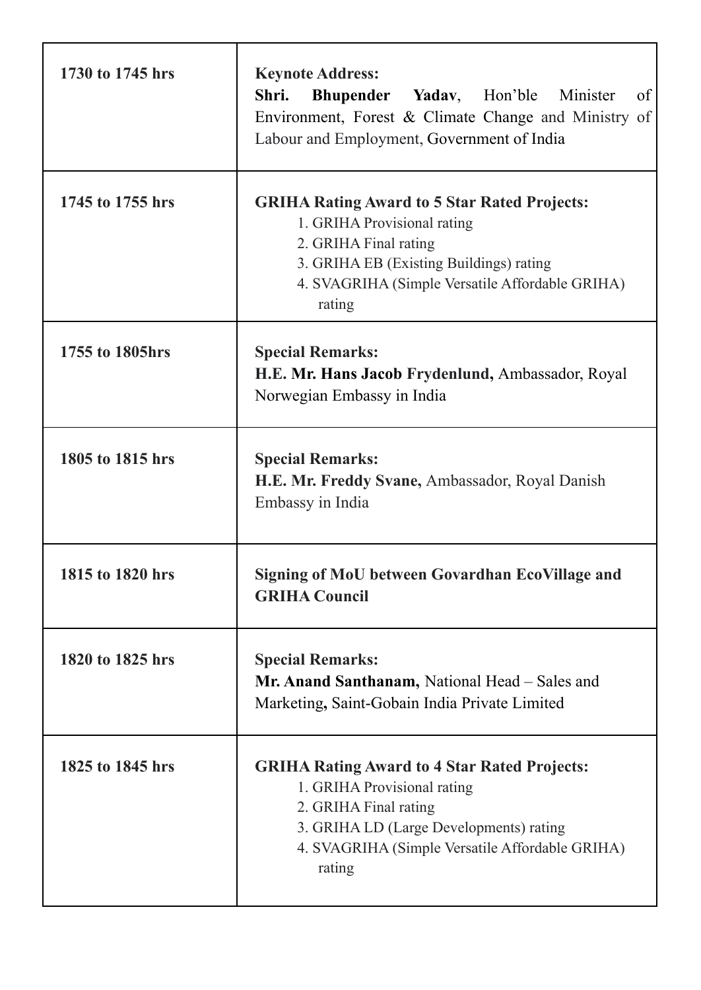| 1730 to 1745 hrs | <b>Keynote Address:</b><br>Shri.<br>Bhupender Yadav, Hon'ble<br>of<br>Minister<br>Environment, Forest & Climate Change and Ministry of<br>Labour and Employment, Government of India                                |
|------------------|---------------------------------------------------------------------------------------------------------------------------------------------------------------------------------------------------------------------|
| 1745 to 1755 hrs | <b>GRIHA Rating Award to 5 Star Rated Projects:</b><br>1. GRIHA Provisional rating<br>2. GRIHA Final rating<br>3. GRIHA EB (Existing Buildings) rating<br>4. SVAGRIHA (Simple Versatile Affordable GRIHA)<br>rating |
| 1755 to 1805hrs  | <b>Special Remarks:</b><br>H.E. Mr. Hans Jacob Frydenlund, Ambassador, Royal<br>Norwegian Embassy in India                                                                                                          |
| 1805 to 1815 hrs | <b>Special Remarks:</b><br>H.E. Mr. Freddy Svane, Ambassador, Royal Danish<br>Embassy in India                                                                                                                      |
| 1815 to 1820 hrs | <b>Signing of MoU between Govardhan EcoVillage and</b><br><b>GRIHA Council</b>                                                                                                                                      |
| 1820 to 1825 hrs | <b>Special Remarks:</b><br>Mr. Anand Santhanam, National Head - Sales and<br>Marketing, Saint-Gobain India Private Limited                                                                                          |
| 1825 to 1845 hrs | <b>GRIHA Rating Award to 4 Star Rated Projects:</b><br>1. GRIHA Provisional rating<br>2. GRIHA Final rating<br>3. GRIHA LD (Large Developments) rating<br>4. SVAGRIHA (Simple Versatile Affordable GRIHA)<br>rating |

ŕ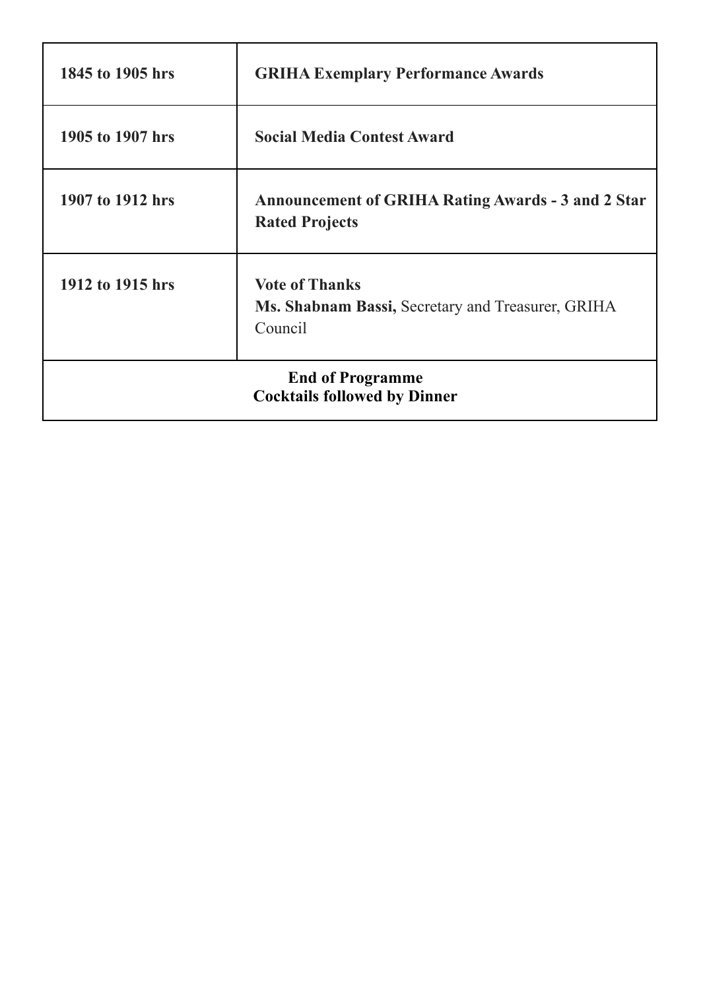| 1845 to 1905 hrs                                               | <b>GRIHA Exemplary Performance Awards</b>                                             |  |
|----------------------------------------------------------------|---------------------------------------------------------------------------------------|--|
| 1905 to 1907 hrs                                               | <b>Social Media Contest Award</b>                                                     |  |
| 1907 to 1912 hrs                                               | <b>Announcement of GRIHA Rating Awards - 3 and 2 Star</b><br><b>Rated Projects</b>    |  |
| 1912 to 1915 hrs                                               | <b>Vote of Thanks</b><br>Ms. Shabnam Bassi, Secretary and Treasurer, GRIHA<br>Council |  |
| <b>End of Programme</b><br><b>Cocktails followed by Dinner</b> |                                                                                       |  |

ŕ